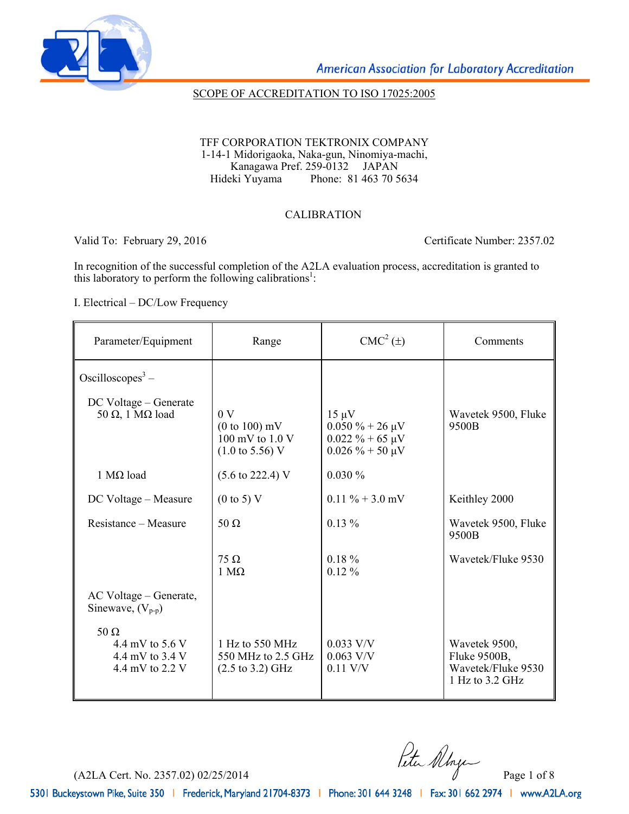

### SCOPE OF ACCREDITATION TO ISO 17025:2005

TFF CORPORATION TEKTRONIX COMPANY 1-14-1 Midorigaoka, Naka-gun, Ninomiya-machi, Kanagawa Pref. 259-0132 JAPAN<br>Hideki Yuyama Phone: 81 463 70 5 Phone: 81 463 70 5634

### CALIBRATION

Valid To: February 29, 2016 Certificate Number: 2357.02

In recognition of the successful completion of the A2LA evaluation process, accreditation is granted to this laboratory to perform the following calibrations<sup>1</sup>:

I. Electrical – DC/Low Frequency

| Parameter/Equipment                                                    | Range                                                                                | $CMC2(\pm)$                                                                           | Comments                                                                 |
|------------------------------------------------------------------------|--------------------------------------------------------------------------------------|---------------------------------------------------------------------------------------|--------------------------------------------------------------------------|
| Oscilloscopes <sup>3</sup> –                                           |                                                                                      |                                                                                       |                                                                          |
| DC Voltage – Generate<br>50 Ω, 1 MΩ load                               | 0 <sub>V</sub><br>$(0 to 100)$ mV<br>100 mV to $1.0$ V<br>$(1.0 \text{ to } 5.56)$ V | $15 \mu V$<br>$0.050 \% + 26 \mu V$<br>$0.022 \% + 65 \mu V$<br>$0.026 \% + 50 \mu V$ | Wavetek 9500, Fluke<br>9500B                                             |
| 1 $MΩ$ load                                                            | $(5.6 \text{ to } 222.4) \text{ V}$                                                  | 0.030%                                                                                |                                                                          |
| DC Voltage – Measure                                                   | $(0 \text{ to } 5)$ V                                                                | $0.11 \% + 3.0 mV$                                                                    | Keithley 2000                                                            |
| Resistance – Measure                                                   | $50 \Omega$                                                                          | $0.13\%$                                                                              | Wavetek 9500, Fluke<br>9500B                                             |
|                                                                        | $75 \Omega$<br>$1 \text{ M}\Omega$                                                   | $0.18 \%$<br>$0.12\%$                                                                 | Wavetek/Fluke 9530                                                       |
| AC Voltage – Generate,<br>Sinewave, $(V_{p-p})$                        |                                                                                      |                                                                                       |                                                                          |
| 50 $\Omega$<br>4.4 mV to $5.6$ V<br>4.4 mV to 3.4 V<br>4.4 mV to 2.2 V | 1 Hz to 550 MHz<br>550 MHz to 2.5 GHz<br>$(2.5 \text{ to } 3.2) \text{ GHz}$         | $0.033$ V/V<br>$0.063$ V/V<br>$0.11$ V/V                                              | Wavetek 9500,<br>Fluke 9500B,<br>Wavetek/Fluke 9530<br>1 Hz to $3.2$ GHz |

(A2LA Cert. No. 2357.02) 02/25/2014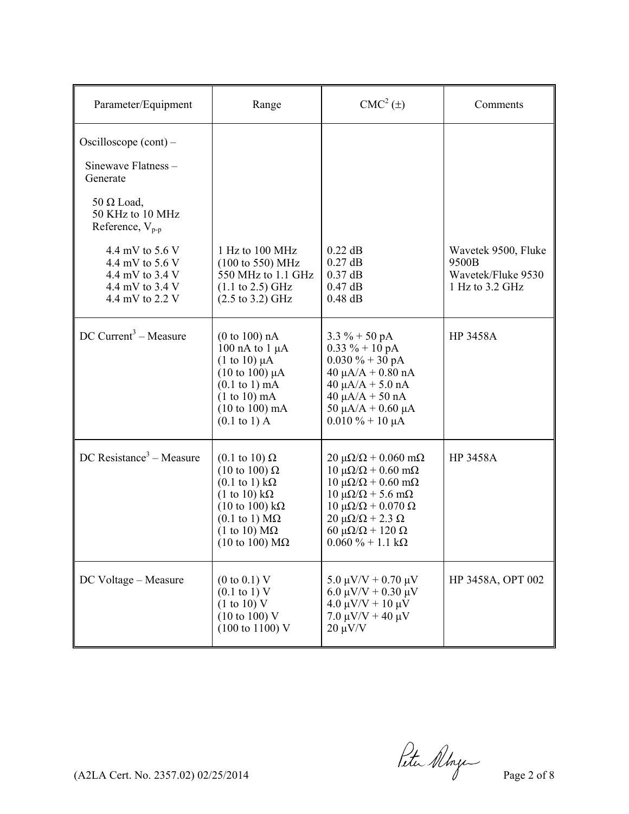| Parameter/Equipment                                                                         | Range                                                                                                                                                                                                                                                                                               | $CMC2(\pm)$                                                                                                                                                                                                                                                                                                        | Comments                                                              |
|---------------------------------------------------------------------------------------------|-----------------------------------------------------------------------------------------------------------------------------------------------------------------------------------------------------------------------------------------------------------------------------------------------------|--------------------------------------------------------------------------------------------------------------------------------------------------------------------------------------------------------------------------------------------------------------------------------------------------------------------|-----------------------------------------------------------------------|
| Oscilloscope $(cont)$ –<br>Sinewave Flatness -<br>Generate                                  |                                                                                                                                                                                                                                                                                                     |                                                                                                                                                                                                                                                                                                                    |                                                                       |
| $50 \Omega$ Load,<br>50 KHz to 10 MHz<br>Reference, $V_{p-p}$                               |                                                                                                                                                                                                                                                                                                     |                                                                                                                                                                                                                                                                                                                    |                                                                       |
| 4.4 mV to 5.6 V<br>4.4 mV to 5.6 V<br>4.4 mV to 3.4 V<br>4.4 mV to 3.4 V<br>4.4 mV to 2.2 V | 1 Hz to 100 MHz<br>$(100 \text{ to } 550) \text{ MHz}$<br>550 MHz to 1.1 GHz<br>$(1.1 \text{ to } 2.5) \text{ GHz}$<br>$(2.5 \text{ to } 3.2) \text{ GHz}$                                                                                                                                          | $0.22$ dB<br>$0.27$ dB<br>$0.37$ dB<br>$0.47$ dB<br>$0.48$ dB                                                                                                                                                                                                                                                      | Wavetek 9500, Fluke<br>9500B<br>Wavetek/Fluke 9530<br>1 Hz to 3.2 GHz |
| $DC$ Current <sup>3</sup> – Measure                                                         | (0 to 100) nA<br>100 nA to $1 \mu$ A<br>$(1 \text{ to } 10) \mu A$<br>$(10 \text{ to } 100) \mu A$<br>$(0.1$ to 1) mA<br>$(1 to 10)$ mA<br>$(10 to 100)$ mA<br>$(0.1 \text{ to } 1)$ A                                                                                                              | $3.3 \% + 50 pA$<br>$0.33 \% + 10 pA$<br>$0.030 \% + 30 pA$<br>$40 \mu A/A + 0.80 \text{ nA}$<br>$40 \mu A/A + 5.0 \text{ nA}$<br>$40 \mu A/A + 50 nA$<br>50 $\mu$ A/A + 0.60 $\mu$ A<br>$0.010\% + 10 \mu A$                                                                                                      | <b>HP 3458A</b>                                                       |
| $DC$ Resistance <sup>3</sup> – Measure                                                      | $(0.1 \text{ to } 10) \Omega$<br>$(10 \text{ to } 100) \Omega$<br>$(0.1 \text{ to } 1) \text{ k}\Omega$<br>$(1 \text{ to } 10) \text{ k}\Omega$<br>$(10 \text{ to } 100) \text{ k}\Omega$<br>$(0.1 \text{ to } 1) \text{ M}\Omega$<br>$(1 \text{ to } 10) \text{ M}\Omega$<br>(10 to 100) $M\Omega$ | $20 \mu\Omega/\Omega + 0.060 \text{ mA}$<br>$10 \mu\Omega/\Omega + 0.60 \text{ m}\Omega$<br>$10 \mu\Omega/\Omega + 0.60 \text{ m}\Omega$<br>$10 \mu\Omega/\Omega$ + 5.6 m $\Omega$<br>10 μΩ/Ω + 0.070 Ω<br>$20 \mu\Omega/\Omega$ + 2.3 $\Omega$<br>60 μ $\Omega/\Omega$ + 120 $\Omega$<br>$0.060 \% + 1.1 k\Omega$ | HP 3458A                                                              |
| DC Voltage - Measure                                                                        | $(0 \text{ to } 0.1) \text{ V}$<br>$(0.1 \text{ to } 1) \text{ V}$<br>(1 to 10) V<br>$(10 \text{ to } 100)$ V<br>$(100 \text{ to } 1100) \text{ V}$                                                                                                                                                 | $5.0 \mu V/V + 0.70 \mu V$<br>6.0 $\mu$ V/V + 0.30 $\mu$ V<br>$4.0 \mu V/V + 10 \mu V$<br>$7.0 \mu V/V + 40 \mu V$<br>$20 \mu V/V$                                                                                                                                                                                 | HP 3458A, OPT 002                                                     |

 $(122A$  Cert. No. 2357.02) 02/25/2014 Page 2 of 8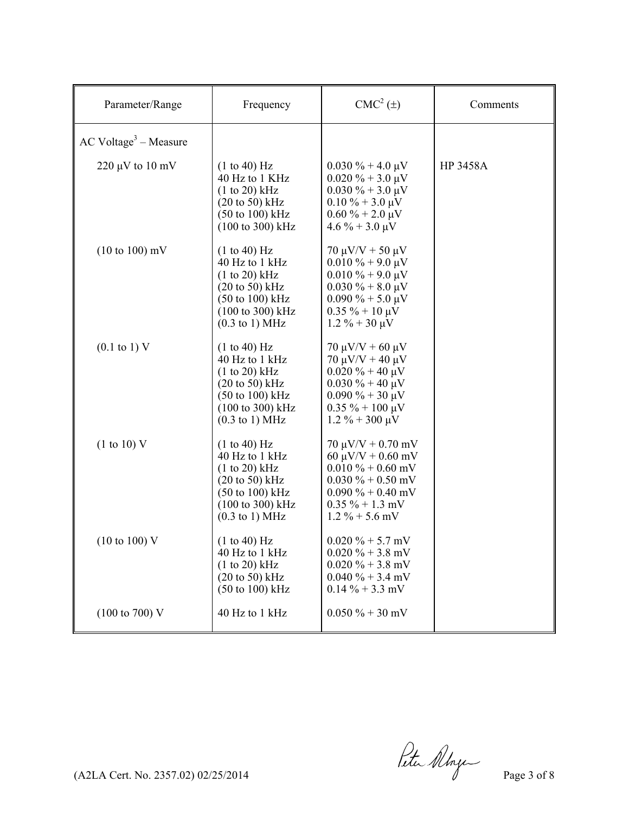| Parameter/Range                   | Frequency                                                                                                                                                                                                | $CMC2(\pm)$                                                                                                                                                                                           | Comments        |
|-----------------------------------|----------------------------------------------------------------------------------------------------------------------------------------------------------------------------------------------------------|-------------------------------------------------------------------------------------------------------------------------------------------------------------------------------------------------------|-----------------|
| $AC Voltage3 - Measure$           |                                                                                                                                                                                                          |                                                                                                                                                                                                       |                 |
| $220 \mu V$ to $10 \mu V$         | (1 to 40) Hz<br>40 Hz to 1 KHz<br>$(1 to 20)$ kHz<br>$(20 \text{ to } 50)$ kHz<br>$(50 \text{ to } 100) \text{ kHz}$<br>$(100 \text{ to } 300) \text{ kHz}$                                              | $0.030\% + 4.0\,\mu\text{V}$<br>$0.020\% + 3.0\,\mu\text{V}$<br>$0.030\% + 3.0\,\mu\text{V}$<br>$0.10\% + 3.0\,\mu\text{V}$<br>$0.60\% + 2.0\,\mu\text{V}$<br>$4.6\% + 3.0\,\mu\text{V}$              | <b>HP 3458A</b> |
| $(10 \text{ to } 100) \text{ mV}$ | (1 to 40) Hz<br>40 Hz to 1 kHz<br>(1 to 20) kHz<br>$(20 \text{ to } 50) \text{ kHz}$<br>$(50 \text{ to } 100) \text{ kHz}$<br>$(100 \text{ to } 300) \text{ kHz}$<br>$(0.3 \text{ to } 1) \text{ MHz}$   | $70 \mu V/V + 50 \mu V$<br>$0.010\% + 9.0\,\mu\text{V}$<br>$0.010\% + 9.0\,\mu\text{V}$<br>$0.030\% + 8.0\,\mu\text{V}$<br>$0.090\% + 5.0\,\mu\text{V}$<br>$0.35 \% + 10 \mu V$<br>$1.2\% + 30 \mu V$ |                 |
| $(0.1 \text{ to } 1) \text{ V}$   | (1 to 40) Hz<br>40 Hz to 1 kHz<br>$(1 to 20)$ kHz<br>$(20 \text{ to } 50) \text{ kHz}$<br>$(50 \text{ to } 100) \text{ kHz}$<br>(100 to 300) kHz<br>$(0.3 \text{ to } 1) \text{ MHz}$                    | $70 \mu V/V + 60 \mu V$<br>$70 \mu V/V + 40 \mu V$<br>$0.020 \% + 40 \mu V$<br>$0.030\% + 40 \mu V$<br>$0.090\% + 30 \mu V$<br>$0.35 \% + 100 \mu V$<br>$1.2 \% + 300 \mu V$                          |                 |
| $(1 \text{ to } 10)$ V            | (1 to 40) Hz<br>40 Hz to 1 kHz<br>$(1 to 20)$ kHz<br>$(20 \text{ to } 50) \text{ kHz}$<br>$(50 \text{ to } 100) \text{ kHz}$<br>$(100 \text{ to } 300) \text{ kHz}$<br>$(0.3 \text{ to } 1) \text{ MHz}$ | $70 \mu V/V + 0.70 \text{ mV}$<br>$60 \mu V/V + 0.60 \text{ mV}$<br>$0.010\% + 0.60$ mV<br>$0.030\% + 0.50$ mV<br>$0.090\% + 0.40$ mV<br>$0.35 \% + 1.3$ mV<br>$1.2\% + 5.6$ mV                       |                 |
| $(10 \text{ to } 100) \text{ V}$  | (1 to 40) Hz<br>40 Hz to 1 kHz<br>(1 to 20) kHz<br>$(20 \text{ to } 50) \text{ kHz}$<br>$(50 \text{ to } 100) \text{ kHz}$                                                                               | $0.020\% + 5.7$ mV<br>$0.020\% + 3.8$ mV<br>$0.020 \% + 3.8$ mV<br>$0.040 \% + 3.4$ mV<br>$0.14\% + 3.3$ mV                                                                                           |                 |
| $(100 \text{ to } 700) \text{ V}$ | 40 Hz to 1 kHz                                                                                                                                                                                           | $0.050\% + 30$ mV                                                                                                                                                                                     |                 |

(A2LA Cert. No. 2357.02) 02/25/2014 Page 3 of 8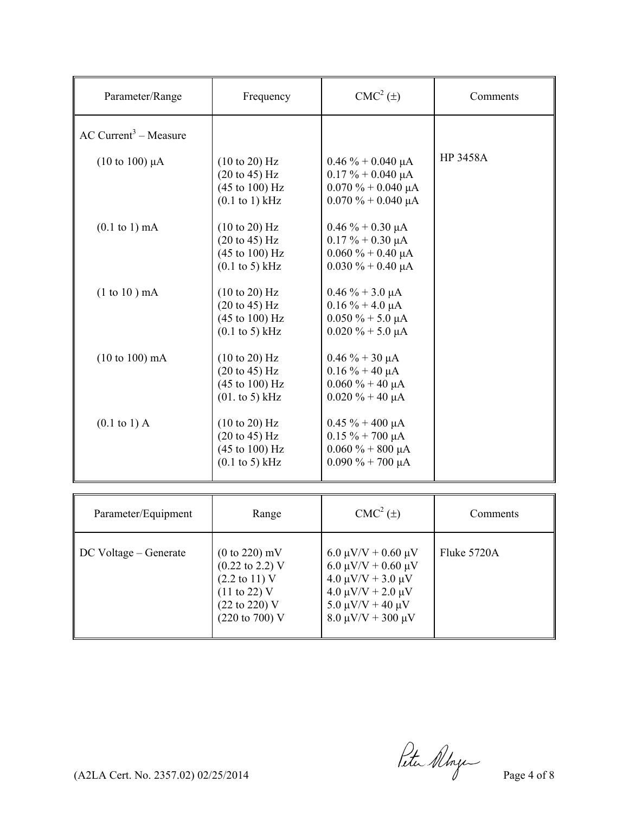| Parameter/Range                     | Frequency                                                                                                  | $CMC2(\pm)$                                                                                               | Comments        |
|-------------------------------------|------------------------------------------------------------------------------------------------------------|-----------------------------------------------------------------------------------------------------------|-----------------|
| $AC$ Current <sup>3</sup> – Measure |                                                                                                            |                                                                                                           |                 |
| $(10 \text{ to } 100) \mu A$        | (10 to 20) Hz<br>(20 to 45) Hz<br>$(45 \text{ to } 100) \text{ Hz}$<br>$(0.1$ to 1) kHz                    | $0.46\% + 0.040\ \mu A$<br>$0.17\% + 0.040 \mu A$<br>$0.070 \% + 0.040 \mu A$<br>$0.070 \% + 0.040 \mu A$ | <b>HP 3458A</b> |
| $(0.1 \text{ to } 1) \text{ mA}$    | (10 to 20) Hz<br>$(20 \text{ to } 45)$ Hz<br>$(45 \text{ to } 100) \text{ Hz}$<br>$(0.1$ to 5) kHz         | $0.46\% + 0.30 \mu A$<br>$0.17\% + 0.30 \mu A$<br>$0.060 \% + 0.40 \mu A$<br>$0.030\% + 0.40 \mu A$       |                 |
| $(1 to 10)$ mA                      | (10 to 20) Hz<br>$(20 \text{ to } 45) \text{ Hz}$<br>$(45 \text{ to } 100) \text{ Hz}$<br>$(0.1$ to 5) kHz | $0.46\% + 3.0 \mu A$<br>$0.16\% + 4.0\,\mu A$<br>$0.050 \% + 5.0 \mu A$<br>$0.020 \% + 5.0 \mu A$         |                 |
| $(10 to 100)$ mA                    | (10 to 20) Hz<br>$(20 \text{ to } 45) \text{ Hz}$<br>$(45 \text{ to } 100) \text{ Hz}$<br>$(01. to 5)$ kHz | $0.46 \% + 30 \mu A$<br>$0.16\% + 40 \mu A$<br>$0.060\% + 40 \mu A$<br>$0.020 \% + 40 \mu A$              |                 |
| $(0.1 \text{ to } 1)$ A             | (10 to 20) Hz<br>$(20 \text{ to } 45) \text{ Hz}$<br>(45 to 100) Hz<br>$(0.1 \text{ to } 5)$ kHz           | $0.45 \% + 400 \mu A$<br>$0.15 \% + 700 \mu A$<br>$0.060\% + 800\,\mu A$<br>$0.090\% + 700\,\mu\text{A}$  |                 |

| Parameter/Equipment   | Range                                                                                                                                              | $CMC2(\pm)$                                                                                                                                                                 | Comments    |
|-----------------------|----------------------------------------------------------------------------------------------------------------------------------------------------|-----------------------------------------------------------------------------------------------------------------------------------------------------------------------------|-------------|
| DC Voltage – Generate | $(0 to 220)$ mV<br>$(0.22 \text{ to } 2.2)$ V<br>$(2.2 \text{ to } 11)$ V<br>$(11 \text{ to } 22)$ V<br>(22 to 220) V<br>$(220 \text{ to } 700)$ V | $6.0 \mu V/V + 0.60 \mu V$<br>$6.0 \mu V/V + 0.60 \mu V$<br>$4.0 \mu V/V + 3.0 \mu V$<br>$4.0 \mu V/V + 2.0 \mu V$<br>$5.0 \mu V/V + 40 \mu V$<br>$8.0 \mu V/V + 300 \mu V$ | Fluke 5720A |

 $($ A2LA Cert. No. 2357.02) 02/25/2014 Page 4 of 8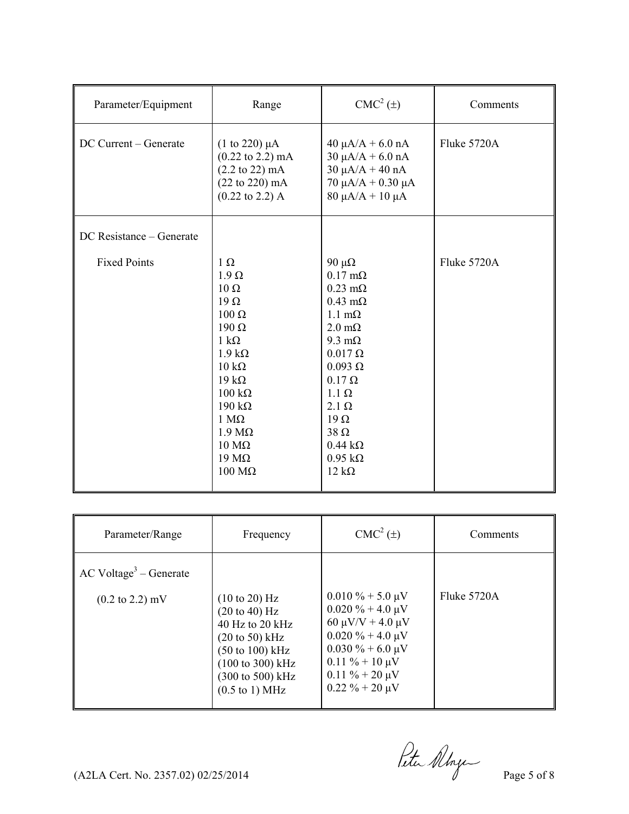| Parameter/Equipment      | Range                                                                                                                                                                                                                                                                                          | $CMC2(\pm)$                                                                                                                                                                                                                                                                                                                                   | Comments    |
|--------------------------|------------------------------------------------------------------------------------------------------------------------------------------------------------------------------------------------------------------------------------------------------------------------------------------------|-----------------------------------------------------------------------------------------------------------------------------------------------------------------------------------------------------------------------------------------------------------------------------------------------------------------------------------------------|-------------|
| DC Current - Generate    | $(1 to 220) \mu A$<br>$(0.22 \text{ to } 2.2) \text{ mA}$<br>$(2.2 \text{ to } 22) \text{ mA}$<br>(22 to 220) mA<br>$(0.22 \text{ to } 2.2)$ A                                                                                                                                                 | $40 \mu A/A + 6.0 \text{ nA}$<br>$30 \mu A/A + 6.0 \text{ nA}$<br>$30 \mu A/A + 40 nA$<br>$70 \mu A/A + 0.30 \mu A$<br>$80 \mu A/A + 10 \mu A$                                                                                                                                                                                                | Fluke 5720A |
| DC Resistance – Generate |                                                                                                                                                                                                                                                                                                |                                                                                                                                                                                                                                                                                                                                               |             |
| <b>Fixed Points</b>      | $1 \Omega$<br>$1.9 \Omega$<br>$10 \Omega$<br>$19 \Omega$<br>$100 \Omega$<br>$190 \Omega$<br>$1 k\Omega$<br>$1.9 k\Omega$<br>$10 k\Omega$<br>$19 k\Omega$<br>$100 \text{ k}\Omega$<br>$190 k\Omega$<br>$1 M\Omega$<br>$1.9 M\Omega$<br>$10 \text{ M}\Omega$<br>$19 \text{ M}\Omega$<br>$100$ ΜΩ | $90 \mu\Omega$<br>$0.17 \text{ m}\Omega$<br>$0.23$ m $\Omega$<br>$0.43$ m $\Omega$<br>$1.1 \text{ m}\Omega$<br>$2.0 \text{ m}\Omega$<br>9.3 m $\Omega$<br>$0.017 \Omega$<br>$0.093 \Omega$<br>$0.17 \Omega$<br>$1.1 \Omega$<br>$2.1 \Omega$<br>$19 \Omega$<br>$38 \Omega$<br>$0.44 \text{ k}\Omega$<br>$0.95 \text{ k}\Omega$<br>$12 k\Omega$ | Fluke 5720A |

| Parameter/Range                                                | Frequency                                                                                                                                                                                                                                                                       | $CMC2(\pm)$                                                                                                                                                                                                          | Comments    |
|----------------------------------------------------------------|---------------------------------------------------------------------------------------------------------------------------------------------------------------------------------------------------------------------------------------------------------------------------------|----------------------------------------------------------------------------------------------------------------------------------------------------------------------------------------------------------------------|-------------|
| $AC Voltage3 - Generate$<br>$(0.2 \text{ to } 2.2) \text{ mV}$ | $(10 \text{ to } 20)$ Hz<br>$(20 \text{ to } 40) \text{ Hz}$<br>$40$ Hz to 20 kHz<br>$(20 \text{ to } 50) \text{ kHz}$<br>$(50 \text{ to } 100) \text{ kHz}$<br>$(100 \text{ to } 300) \text{ kHz}$<br>$(300 \text{ to } 500) \text{ kHz}$<br>$(0.5 \text{ to } 1) \text{ MHz}$ | $0.010\% + 5.0 \mu V$<br>$0.020\% + 4.0\,\mu\text{V}$<br>60 $\mu$ V/V + 4.0 $\mu$ V<br>$0.020\% + 4.0\,\mu\text{V}$<br>$0.030\% + 6.0 \mu V$<br>$0.11 \% + 10 \mu V$<br>$0.11 \% + 20 \mu V$<br>$0.22 \% + 20 \mu V$ | Fluke 5720A |

 $($ A2LA Cert. No. 2357.02) 02/25/2014 Page 5 of 8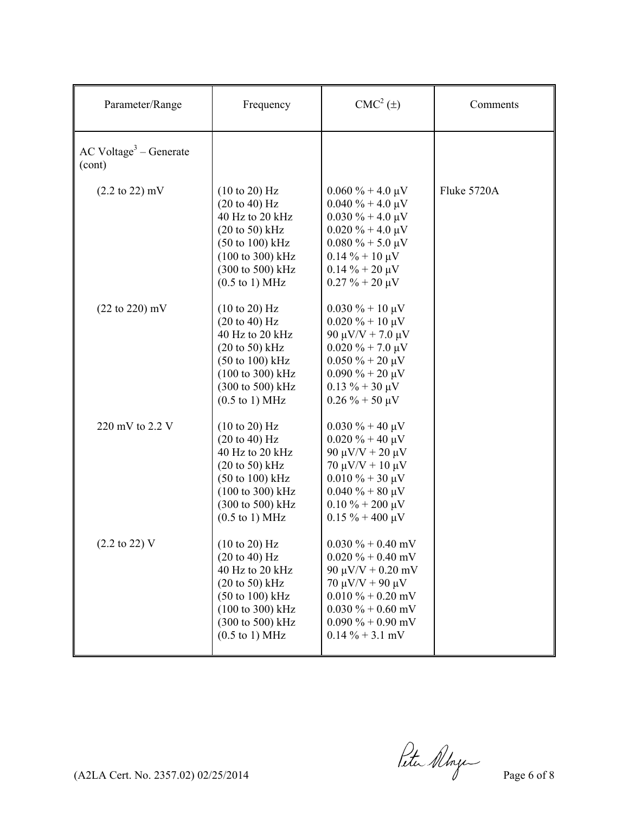| Parameter/Range                    | Frequency                                                                                                                                                                                                                       | $CMC2(\pm)$                                                                                                                                                                                                            | Comments    |
|------------------------------------|---------------------------------------------------------------------------------------------------------------------------------------------------------------------------------------------------------------------------------|------------------------------------------------------------------------------------------------------------------------------------------------------------------------------------------------------------------------|-------------|
| $AC Voltage3 - Generate$<br>(cont) |                                                                                                                                                                                                                                 |                                                                                                                                                                                                                        |             |
| $(2.2 \text{ to } 22) \text{ mV}$  | $(10 \text{ to } 20)$ Hz<br>(20 to 40) Hz<br>40 Hz to 20 kHz<br>$(20 \text{ to } 50)$ kHz<br>$(50 \text{ to } 100) \text{ kHz}$<br>$(100 \text{ to } 300) \text{ kHz}$<br>(300 to 500) kHz<br>$(0.5 \text{ to } 1) \text{ MHz}$ | $0.060\% + 4.0\,\mu\text{V}$<br>$0.040 \% + 4.0 \mu V$<br>$0.030\% + 4.0\,\mu\text{V}$<br>$0.020 \% + 4.0 \mu V$<br>$0.080\% + 5.0\,\mu\text{V}$<br>$0.14\% + 10 \mu V$<br>$0.14\% + 20 \mu V$<br>$0.27 \% + 20 \mu V$ | Fluke 5720A |
| $(22 to 220)$ mV                   | (10 to 20) Hz<br>(20 to 40) Hz<br>40 Hz to 20 kHz<br>$(20 \text{ to } 50)$ kHz<br>$(50 \text{ to } 100) \text{ kHz}$<br>(100 to 300) kHz<br>(300 to 500) kHz<br>$(0.5 \text{ to } 1) \text{ MHz}$                               | $0.030\% + 10 \mu V$<br>$0.020\% + 10 \mu V$<br>90 μV/V + 7.0 μV<br>$0.020\% + 7.0\,\mu\text{V}$<br>$0.050 \% + 20 \mu V$<br>$0.090\% + 20 \mu V$<br>$0.13 \% + 30 \mu V$<br>$0.26\% + 50 \mu V$                       |             |
| 220 mV to 2.2 V                    | $(10 \text{ to } 20)$ Hz<br>(20 to 40) Hz<br>40 Hz to 20 kHz<br>$(20 \text{ to } 50)$ kHz<br>$(50 \text{ to } 100) \text{ kHz}$<br>(100 to 300) kHz<br>(300 to 500) kHz<br>$(0.5 \text{ to } 1) \text{ MHz}$                    | $0.030\% + 40 \mu V$<br>$0.020 \% + 40 \mu V$<br>$90 \mu V/V + 20 \mu V$<br>$70 \mu V/V + 10 \mu V$<br>$0.010 \% + 30 \mu V$<br>$0.040 \% + 80 \mu V$<br>$0.10\% + 200\,\mu\text{V}$<br>$0.15 \% + 400 \mu V$          |             |
| $(2.2 \text{ to } 22)$ V           | (10 to 20) Hz<br>(20 to 40) Hz<br>40 Hz to 20 kHz<br>$(20 \text{ to } 50) \text{ kHz}$<br>$(50 \text{ to } 100) \text{ kHz}$<br>$(100 \text{ to } 300) \text{ kHz}$<br>(300 to 500) kHz<br>$(0.5 \text{ to } 1) \text{ MHz}$    | $0.030\% + 0.40$ mV<br>$0.020 \% + 0.40$ mV<br>$90 \mu V/V + 0.20 \text{ mV}$<br>$70 \mu V/V + 90 \mu V$<br>$0.010\% + 0.20$ mV<br>$0.030\% + 0.60$ mV<br>$0.090\% + 0.90$ mV<br>$0.14\% + 3.1$ mV                     |             |

 $(AZLA$  Cert. No. 2357.02) 02/25/2014  $\theta$   $\theta$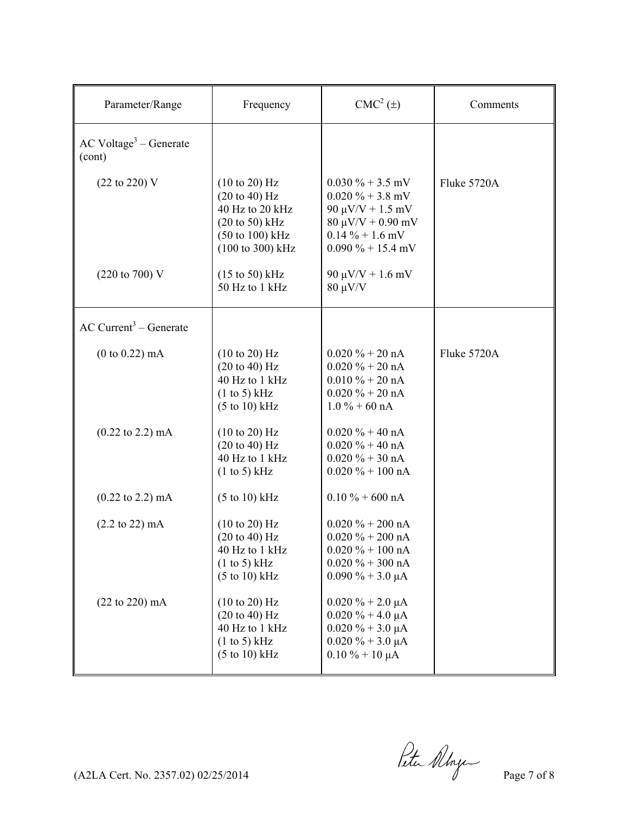| Parameter/Range                                | Frequency                                                                                                                                           | $CMC2(\pm)$                                                                                                                                 | Comments    |
|------------------------------------------------|-----------------------------------------------------------------------------------------------------------------------------------------------------|---------------------------------------------------------------------------------------------------------------------------------------------|-------------|
| $AC$ Voltage <sup>3</sup> – Generate<br>(cont) |                                                                                                                                                     |                                                                                                                                             |             |
| (22 to 220) V                                  | $(10 \text{ to } 20)$ Hz<br>(20 to 40) Hz<br>40 Hz to 20 kHz<br>$(20 \text{ to } 50)$ kHz<br>$(50 \text{ to } 100) \text{ kHz}$<br>(100 to 300) kHz | $0.030\% + 3.5$ mV<br>$0.020\% + 3.8$ mV<br>$90 \mu V/V + 1.5 \ mV$<br>$80 \mu V/V + 0.90 \ mV$<br>$0.14\% + 1.6$ mV<br>$0.090\% + 15.4$ mV | Fluke 5720A |
| $(220 \text{ to } 700) \text{ V}$              | $(15 \text{ to } 50) \text{ kHz}$<br>50 Hz to 1 kHz                                                                                                 | 90 μV/V + $1.6$ mV<br>$80 \mu V/V$                                                                                                          |             |
| $AC$ Current <sup>3</sup> – Generate           |                                                                                                                                                     |                                                                                                                                             |             |
| $(0 to 0.22)$ mA                               | (10 to 20) Hz<br>(20 to 40) Hz<br>40 Hz to 1 kHz<br>(1 to 5) kHz<br>$(5 \text{ to } 10) \text{ kHz}$                                                | $0.020 \% + 20 nA$<br>$0.020 \% + 20 nA$<br>$0.010 \% + 20 nA$<br>$0.020 \% + 20 nA$<br>$1.0\% + 60\text{ nA}$                              | Fluke 5720A |
| $(0.22 \text{ to } 2.2) \text{ mA}$            | $(10 \text{ to } 20)$ Hz<br>(20 to 40) Hz<br>40 Hz to 1 kHz<br>(1 to 5) kHz                                                                         | $0.020 \% + 40 nA$<br>$0.020 \% + 40 nA$<br>$0.020 \% + 30 nA$<br>$0.020 \% + 100 nA$                                                       |             |
| $(0.22 \text{ to } 2.2) \text{ mA}$            | (5 to 10) kHz                                                                                                                                       | $0.10 \% + 600 nA$                                                                                                                          |             |
| $(2.2 \text{ to } 22) \text{ mA}$              | (10 to 20) Hz<br>(20 to 40) Hz<br>40 Hz to 1 kHz<br>(1 to 5) kHz<br>$(5 \text{ to } 10) \text{ kHz}$                                                | $0.020 \% + 200 nA$<br>$0.020 \% + 200 nA$<br>$0.020 \% + 100 \text{ nA}$<br>$0.020 \% + 300 nA$<br>$0.090\% + 3.0 \mu A$                   |             |
| $(22 to 220)$ mA                               | (10 to 20) Hz<br>$(20 \text{ to } 40) \text{ Hz}$<br>40 Hz to 1 kHz<br>(1 to 5) kHz<br>$(5 \text{ to } 10) \text{ kHz}$                             | $0.020 \% + 2.0 \mu A$<br>$0.020 \% + 4.0 \mu A$<br>$0.020 \% + 3.0 \mu A$<br>$0.020 \% + 3.0 \mu A$<br>$0.10\% + 10 \mu A$                 |             |

 $(122A$  Cert. No. 2357.02) 02/25/2014 Page 7 of 8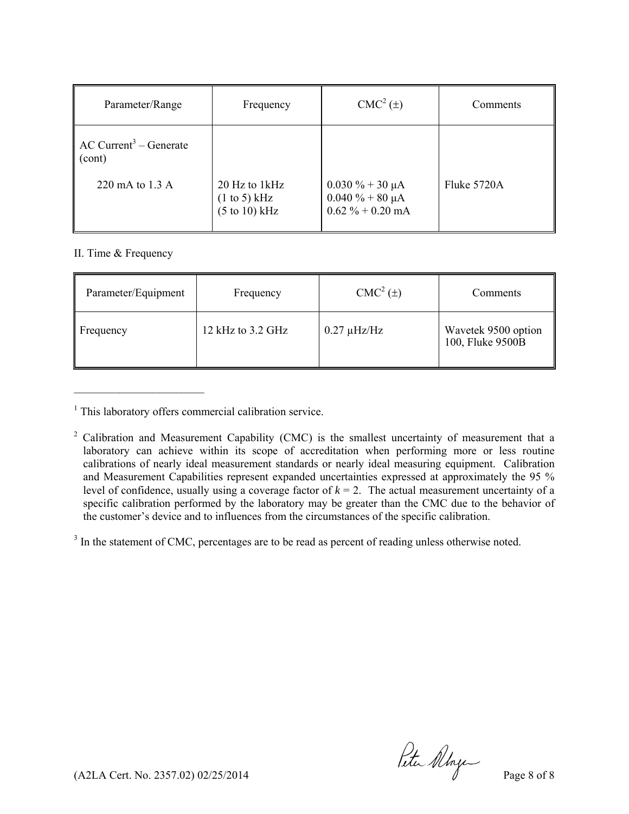| Parameter/Range                                 | Frequency                        | CMC <sup>2</sup> (±)  | Comments    |
|-------------------------------------------------|----------------------------------|-----------------------|-------------|
| $\overline{AC}$ Current <sup>3</sup> – Generate | 20 Hz to 1kHz                    | $0.030 \% + 30 \mu A$ | Fluke 5720A |
| $\vert$ (cont)                                  | $(1 \text{ to } 5)$ kHz          | $0.040 \% + 80 \mu A$ |             |
| 220 mA to 1.3 A                                 | $(5 \text{ to } 10) \text{ kHz}$ | $0.62 \% + 0.20$ mA   |             |

#### II. Time & Frequency

 $\mathcal{L}_\text{max}$ 

| Parameter/Equipment | Frequency         | $CMC2(\pm)$      | Comments                                |
|---------------------|-------------------|------------------|-----------------------------------------|
| Frequency           | 12 kHz to 3.2 GHz | $0.27 \mu$ Hz/Hz | Wavetek 9500 option<br>100, Fluke 9500B |

<sup>&</sup>lt;sup>1</sup> This laboratory offers commercial calibration service.

 $3$  In the statement of CMC, percentages are to be read as percent of reading unless otherwise noted.

(A2LA Cert. No. 2357.02) 02/25/2014  $\mu$   $\mu$  Page 8 of 8

 $2^2$  Calibration and Measurement Capability (CMC) is the smallest uncertainty of measurement that a laboratory can achieve within its scope of accreditation when performing more or less routine calibrations of nearly ideal measurement standards or nearly ideal measuring equipment. Calibration and Measurement Capabilities represent expanded uncertainties expressed at approximately the 95 % level of confidence, usually using a coverage factor of  $k = 2$ . The actual measurement uncertainty of a specific calibration performed by the laboratory may be greater than the CMC due to the behavior of the customer's device and to influences from the circumstances of the specific calibration.